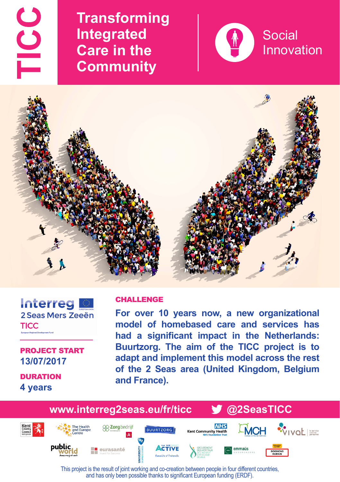TICC

**Transforming Integrated Care in the Community**





## Interreg 2 Seas Mers Zeeën **TICC**

PROJECT START **13/07/2017**

**DURATION 4 years**

## CHALLENGE

**For over 10 years now, a new organizational model of homebased care and services has had a significant impact in the Netherlands: Buurtzorg. The aim of the TICC project is to adapt and implement this model across the rest of the 2 Seas area (United Kingdom, Belgium and France).**



This project is the result of joint working and co-creation between people in four different countries, and has only been possible thanks to significant European funding (ERDF).